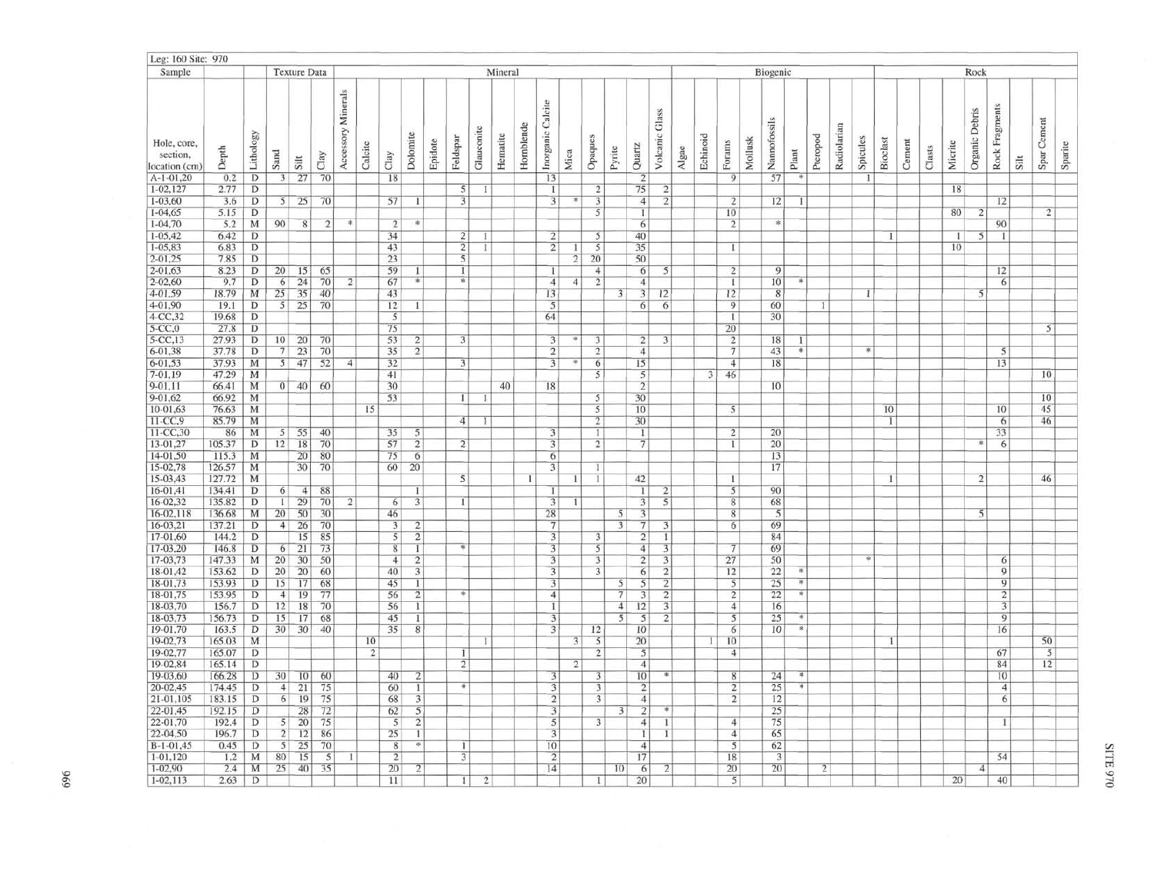|                                          | Leg: 160 Site: 970 |                     |                                  |                                |                |                    |                |                                  |                        |         |                         |                |          |            |                                  |                |                         |                |                         |                                           |          |                         |                                  |         |                      |               |                |             |          |                 |        |        |                 |                |                |      |                 |         |
|------------------------------------------|--------------------|---------------------|----------------------------------|--------------------------------|----------------|--------------------|----------------|----------------------------------|------------------------|---------|-------------------------|----------------|----------|------------|----------------------------------|----------------|-------------------------|----------------|-------------------------|-------------------------------------------|----------|-------------------------|----------------------------------|---------|----------------------|---------------|----------------|-------------|----------|-----------------|--------|--------|-----------------|----------------|----------------|------|-----------------|---------|
| Sample                                   |                    |                     |                                  | <b>Texture Data</b><br>Mineral |                |                    |                |                                  |                        |         |                         |                |          |            |                                  |                |                         |                |                         |                                           | Biogenic |                         |                                  |         |                      | Rock          |                |             |          |                 |        |        |                 |                |                |      |                 |         |
| Hole, core,<br>section,<br>location (cm) | Depth              | Lithology           | Sand                             | Silt                           | Clay           | Accessory Minerals | Calcite        | Clay                             | Dolomite               | Epidote | Feldspar                | Glauconite     | Hematite | Hornblende | Inorganic Calcite                | Mica           | Opaques                 | Pyrite         | Quartz                  | Volcanic Glass                            | Algae    | Echinoid                | Forams                           | Mollusk | Nannofossils         | Plant         | Pteropod       | Radiolarian | Spicules | <b>Bioclast</b> | Cement | Clasts | Micrite         | Organic Debris | Rock Fragments | Silt | Spar Cement     | Sparite |
| $A-1-01,20$                              | 0.2                | $\overline{D}$      | 3 <sup>1</sup>                   | 27                             | 70             |                    |                | 18                               |                        |         |                         |                |          |            | 13                               |                |                         |                | $\overline{2}$          |                                           |          |                         | 9                                |         | 57                   |               |                |             |          |                 |        |        |                 |                |                |      |                 |         |
| $1 - 02, 127$                            | 2.77               | D                   |                                  |                                |                |                    |                |                                  |                        |         | 5                       | 1              |          |            | $\mathbf{I}$                     |                | $\overline{2}$          |                | 75                      | $\overline{2}$                            |          |                         |                                  |         |                      |               |                |             |          |                 |        |        | 18              |                |                |      |                 |         |
| $1 - 03,60$                              | 3.6                | D                   | 5                                | 25                             | 70             |                    |                | 57                               | -11                    |         | $\overline{\mathbf{3}}$ |                |          |            | $\overline{3}$                   | $\ast$         | 3<br>5                  |                | $\overline{4}$          | $\overline{2}$                            |          |                         | $\overline{2}$                   |         | 12                   | ı             |                |             |          |                 |        |        |                 |                | 12             |      |                 |         |
| $1 - 04,65$<br>$1 - 04.70$               | 5.15<br>5.2        | D<br>M              | 90                               | 8                              | $\overline{2}$ | 冰                  |                | $\overline{2}$                   |                        |         |                         |                |          |            |                                  |                |                         |                | 1<br>6                  |                                           |          |                         | 10                               |         | 本                    |               |                |             |          |                 |        |        | 80              | 2              | 90             |      | $\overline{2}$  |         |
| $1 - 05,42$                              | 6.42               | D                   |                                  |                                |                |                    |                | 34                               |                        |         | $\overline{2}$          |                |          |            | $\overline{2}$                   |                | 5                       |                | 40                      |                                           |          |                         | $\overline{2}$                   |         |                      |               |                |             |          | Т.              |        |        | $\mathbf{I}$    | 5              | -1             |      |                 |         |
| $1 - 05,83$                              | 6.83               | D                   |                                  |                                |                |                    |                | 43                               |                        |         | $\overline{2}$          | Ŧ              |          |            | $\overline{2}$                   | 1              | 5                       |                | 35                      |                                           |          |                         | Г                                |         |                      |               |                |             |          |                 |        |        | 10 <sup>°</sup> |                |                |      |                 |         |
| $2 - 01, 25$                             | 7.85               | $\overline{D}$      |                                  |                                |                |                    |                | 23                               |                        |         | $\overline{5}$          |                |          |            |                                  | $\overline{2}$ | 20                      |                | 50                      |                                           |          |                         |                                  |         |                      |               |                |             |          |                 |        |        |                 |                |                |      |                 |         |
| 2-01.63                                  | 8.23               | D                   | 20 <sub>1</sub>                  | 15                             | 65             |                    |                | 59                               | H.                     |         | -1                      |                |          |            | 1                                |                | $\overline{4}$          |                | 6                       | 5                                         |          |                         | $\overline{c}$                   |         | 9                    |               |                |             |          |                 |        |        |                 |                | 12             |      |                 |         |
| $2 - 02,60$                              | 9.7                | $\overline{D}$      | 6                                | 24                             | 70             | $\overline{2}$     |                | 67                               | W.                     |         | <b>R</b>                |                |          |            | $\overline{4}$                   | $\cdot$ 4      | $\overline{2}$          |                | $\overline{4}$          |                                           |          |                         | T                                |         | 10                   |               |                |             |          |                 |        |        |                 |                | 6              |      |                 |         |
| 4-01.59                                  | 18.79              | M                   | 25                               | 35                             | 40             |                    |                | 43                               |                        |         |                         |                |          |            | 13                               |                |                         | $\overline{3}$ | 3                       | 12                                        |          |                         | 12                               |         | 8                    |               |                |             |          |                 |        |        |                 | 5              |                |      |                 |         |
| 4-01.90                                  | 19.1               | D                   | 5                                | 25                             | 70             |                    |                | 12                               |                        |         |                         |                |          |            | 5                                |                |                         |                | 6                       | 6                                         |          |                         | 9                                |         | 60                   |               | -1             |             |          |                 |        |        |                 |                |                |      |                 |         |
| 4-CC,32                                  | 19.68              | D                   |                                  |                                |                |                    |                | 5                                |                        |         |                         |                |          |            | 64                               |                |                         |                |                         |                                           |          |                         | $\mathbf{1}$                     |         | 30                   |               |                |             |          |                 |        |        |                 |                |                |      |                 |         |
| $5-CC,0$                                 | 27.8               | D                   |                                  |                                |                |                    |                | 75                               |                        |         |                         |                |          |            |                                  |                |                         |                |                         |                                           |          |                         | 20                               |         |                      |               |                |             |          |                 |        |        |                 |                |                |      | 5               |         |
| $5-CC,13$                                | 27.93              | $\overline{D}$      | 10 <sup>1</sup>                  | 20                             | 70             |                    |                | 53                               | 2 <sup>1</sup>         |         | 3                       |                |          |            | $\overline{3}$                   | 凉              | $\overline{\mathbf{3}}$ |                | 2                       | $\overline{\mathbf{3}}$                   |          |                         | $\overline{2}$                   |         | 18                   | T.            |                |             |          |                 |        |        |                 |                |                |      |                 |         |
| 6-01.38                                  | 37.78              | D                   | 7 <sup>1</sup>                   | 23                             | 70             |                    |                | 35                               | $\overline{2}$         |         |                         |                |          |            | $\overline{2}$                   |                | $\overline{2}$          |                | $\overline{4}$          |                                           |          |                         | $\overline{\tau}$                |         | 43                   | $\ast$        |                |             |          |                 |        |        |                 |                | 5              |      |                 |         |
| 6-01,53                                  | 37.93              | M                   | 5 <sup>1</sup>                   | 47                             | 52             | $\overline{4}$     |                | 32                               |                        |         | 3                       |                |          |            | $\overline{3}$                   |                | 6                       |                | 15                      |                                           |          |                         | 4                                |         | 18                   |               |                |             |          |                 |        |        |                 |                | 13             |      |                 |         |
| 7-01.19                                  | 47.29              | M                   |                                  |                                |                |                    |                | 41                               |                        |         |                         |                |          |            |                                  |                | $\overline{5}$          |                | 5                       |                                           |          | $\overline{\mathbf{3}}$ | 46                               |         |                      |               |                |             |          |                 |        |        |                 |                |                |      | 10              |         |
| $9 - 01.11$                              | 66.41              | M                   | $\overline{0}$                   | 40                             | 60             |                    |                | 30                               |                        |         |                         |                | 40       |            | 18                               |                |                         |                | $\overline{2}$          |                                           |          |                         |                                  |         | 10                   |               |                |             |          |                 |        |        |                 |                |                |      | 10              |         |
| 9-01.62<br>10-01,63                      | 66.92<br>76.63     | M<br>M              |                                  |                                |                |                    | 15             | 53                               |                        |         | $\mathbf{I}$            | л              |          |            |                                  |                | 5<br>5                  |                | 30<br>10                |                                           |          |                         | $\overline{5}$                   |         |                      |               |                |             |          | 10              |        |        |                 |                | 10             |      | 45              |         |
| $11-CC,9$                                | 85.79              | M                   |                                  |                                |                |                    |                |                                  |                        |         | 4 <sub>1</sub>          | 1              |          |            |                                  |                | $\overline{2}$          |                | 30                      |                                           |          |                         |                                  |         |                      |               |                |             |          |                 |        |        |                 |                | 6              |      | 46              |         |
| $11-CC,30$                               | 86                 | M                   | 5 <sup>1</sup>                   | 55                             | 40             |                    |                | 35                               | 5 <sup>1</sup>         |         |                         |                |          |            | 3                                |                | $\mathbf{1}$            |                | Ч                       |                                           |          |                         | $\overline{2}$                   |         | 20                   |               |                |             |          |                 |        |        |                 |                | 33             |      |                 |         |
| 13-01,27                                 | 105.37             | D                   | 12                               | 18                             | 70             |                    |                | 57                               | $\overline{2}$         |         | $\overline{2}$          |                |          |            | 3                                |                | $\overline{2}$          |                | 7                       |                                           |          |                         | $\mathbf{1}$                     |         | 20                   |               |                |             |          |                 |        |        |                 |                | 6              |      |                 |         |
| $14 - 01,50$                             | 115.3              | M                   |                                  | 20                             | 80             |                    |                | 75                               | 6                      |         |                         |                |          |            | 6                                |                |                         |                |                         |                                           |          |                         |                                  |         | 13                   |               |                |             |          |                 |        |        |                 |                |                |      |                 |         |
| 15-02,78                                 | 126.57             | M                   |                                  | 30                             | 70             |                    |                | 60                               | 20                     |         |                         |                |          |            | $\overline{3}$                   |                | Л                       |                |                         |                                           |          |                         |                                  |         | 17                   |               |                |             |          |                 |        |        |                 |                |                |      |                 |         |
| 15-03,43                                 | 127.72             | M                   |                                  |                                |                |                    |                |                                  |                        |         | 5                       |                |          |            |                                  |                | $\mathbf{1}$            |                | 42                      |                                           |          |                         | 1                                |         |                      |               |                |             |          | $\mathbf{1}$    |        |        |                 | 2              |                |      | 46              |         |
| 16-01.41                                 | 134.41             | $\overline{D}$      | 6                                | $\overline{4}$                 | 88             |                    |                |                                  |                        |         |                         |                |          |            |                                  |                |                         |                |                         | $\overline{2}$                            |          |                         | 5                                |         | 90                   |               |                |             |          |                 |        |        |                 |                |                |      |                 |         |
| 16-02,32                                 | 135.82             | $\overline{D}$      | $\mathbf{1}$                     | 29                             | 70             | $\mathbf{2}$       |                | 6 <sup>1</sup>                   | 3 <sup>1</sup>         |         | $\mathbf{I}$            |                |          |            | 3                                | -1             |                         |                | 3 <sup>1</sup>          | 5                                         |          |                         | 8                                |         | 68                   |               |                |             |          |                 |        |        |                 |                |                |      |                 |         |
| 16-02,118                                | 136.68             | M                   | 20 <sub>1</sub>                  | 50                             | 30             |                    |                | 46                               |                        |         |                         |                |          |            | 28                               |                |                         | 5              | 3                       |                                           |          |                         | 8                                |         | 5                    |               |                |             |          |                 |        |        |                 | 5              |                |      |                 |         |
| $16-03,21$                               | 137.21             | D                   | 4 <sup>1</sup>                   | 26                             | 70             |                    |                | $\overline{\mathbf{3}}$          | 2                      |         |                         |                |          |            | $\overline{7}$                   |                |                         | 3              | 7                       | 3                                         |          |                         | 6                                |         | 69                   |               |                |             |          |                 |        |        |                 |                |                |      |                 |         |
| 17-01.60                                 | 144.2              | D                   |                                  | 15                             | 85             |                    |                | 5                                | $\overline{2}$         |         |                         |                |          |            | 3                                |                | 3                       |                | $\overline{2}$          | 1                                         |          |                         |                                  |         | 84                   |               |                |             |          |                 |        |        |                 |                |                |      |                 |         |
| 17-03,20                                 | 146.8              | D                   | 6 <sup>1</sup>                   | 21                             | 73             |                    |                | $\overline{8}$                   | 1                      |         |                         |                |          |            | $\overline{3}$                   |                | 5<br>3                  |                | $\overline{4}$          | $\overline{\mathbf{3}}$                   |          |                         | $\tau$                           |         | 69                   |               |                |             |          |                 |        |        |                 |                |                |      |                 |         |
| 17-03,73<br>18-01,42                     | 147.33<br>153.62   | M<br>D              | 20 <sub>1</sub><br>20            | 30<br>20                       | 50<br>60       |                    |                | $\overline{4}$<br>40             | $\overline{2}$<br>3    |         |                         |                |          |            | $\overline{3}$<br>$\overline{3}$ |                | 3                       |                | $\overline{c}$<br>6     | $\overline{\mathbf{3}}$<br>$\overline{2}$ |          |                         | 27<br>12                         |         | 50<br>22             | 189           |                |             |          |                 |        |        |                 |                | 6<br>9         |      |                 |         |
| 18-01,73                                 | 153.93             | D                   | 15                               | 17                             | 68             |                    |                | 45                               | $\mathbf{I}$           |         |                         |                |          |            | $\overline{3}$                   |                |                         | 5              | 5                       | $\overline{2}$                            |          |                         | $\overline{5}$                   |         | 25                   | $\ddot{\ast}$ |                |             |          |                 |        |        |                 |                | 9              |      |                 |         |
| 18-01.75                                 | 153.95             | $\overline{D}$      | $\overline{4}$                   | 19                             | 77             |                    |                | 56                               | $\overline{2}$         |         |                         |                |          |            | $\overline{4}$                   |                |                         | 7              | $\overline{\mathbf{3}}$ | $\overline{2}$                            |          |                         | $\overline{2}$                   |         | 22                   |               |                |             |          |                 |        |        |                 |                | $\overline{2}$ |      |                 |         |
| 18-03,70                                 | 156.7              | D                   | 12                               | 18                             | 70             |                    |                | 56                               | $\Gamma$               |         |                         |                |          |            | $\mathbf{I}$                     |                |                         | 4 <sup>1</sup> | 12                      | 3                                         |          |                         | $\overline{4}$                   |         | 16                   |               |                |             |          |                 |        |        |                 |                | 3              |      |                 |         |
| 18-03,73                                 | 156.73             | D                   | 15                               | 17                             | 68             |                    |                | 45                               | L                      |         |                         |                |          |            | 3                                |                |                         | 5              | 5                       | $\overline{2}$                            |          |                         | 5                                |         | 25                   |               |                |             |          |                 |        |        |                 |                | 9              |      |                 |         |
| 19-01.70                                 | 163.5              | D                   | 30                               | 30                             | 40             |                    |                | 35                               | $8^{\circ}$            |         |                         |                |          |            | $\overline{3}$                   |                | 12                      |                | 10                      |                                           |          |                         | 6                                |         | 10                   | $\ast$        |                |             |          |                 |        |        |                 |                | 16             |      |                 |         |
| 19-02,73                                 | 165.03             | M                   |                                  |                                |                |                    | 10             |                                  |                        |         |                         |                |          |            |                                  | 3 <sup>1</sup> | 5                       |                | 20                      |                                           |          | $\mathbf{1}$            | 10                               |         |                      |               |                |             |          | $\mathbf{1}$    |        |        |                 |                |                |      | 50              |         |
| 19-02,77                                 | 165.07             | D                   |                                  |                                |                |                    | $\overline{2}$ |                                  |                        |         | 1                       |                |          |            |                                  |                | $\overline{2}$          |                | 5                       |                                           |          |                         | $\overline{4}$                   |         |                      |               |                |             |          |                 |        |        |                 |                | 67             |      | 5               |         |
| 19-02,84                                 | 165.14             | D                   |                                  |                                |                |                    |                |                                  |                        |         | $\overline{2}$          |                |          |            |                                  | $\overline{2}$ |                         |                | $\overline{4}$          |                                           |          |                         |                                  |         |                      |               |                |             |          |                 |        |        |                 |                | 84             |      | 12 <sup>5</sup> |         |
| 19-03,60                                 | 166.28             | D                   | 30                               | 10                             | 60             |                    |                | 40                               | $\overline{2}$         |         |                         |                |          |            | 3                                |                | 3                       |                | 10                      | 車                                         |          |                         | 8                                |         | 24                   | ¥             |                |             |          |                 |        |        |                 |                | 10             |      |                 |         |
| 20-02,45                                 | 174.45             | D                   | $\overline{4}$                   | 21                             | 75             |                    |                | 60                               | $\mathbf{1}$           |         | 串                       |                |          |            | 3                                |                | 3                       |                | $\overline{c}$          |                                           |          |                         | $\overline{c}$                   |         | 25                   | 涿             |                |             |          |                 |        |        |                 |                | $\overline{4}$ |      |                 |         |
| 21-01,105                                | 183.15             | $\overline{D}$      | 6                                | 19                             | 75             |                    |                | 68                               | 3                      |         |                         |                |          |            | $\overline{2}$                   |                | 3                       |                | $\overline{4}$          |                                           |          |                         | $\overline{2}$                   |         | 12                   |               |                |             |          |                 |        |        |                 |                | 6              |      |                 |         |
| 22-01,45                                 | 192.15             | D                   |                                  | 28                             | 72             |                    |                | 62                               | $\overline{5}$         |         |                         |                |          |            | 3                                |                |                         | 3              | $\overline{2}$          |                                           |          |                         |                                  |         | 25                   |               |                |             |          |                 |        |        |                 |                |                |      |                 |         |
| 22-01.70                                 | 192.4              | $\overline{D}$      | $\overline{5}$<br>$\overline{2}$ | 20                             | 75             |                    |                | 5                                | $\overline{2}$         |         |                         |                |          |            | $\overline{5}$                   |                | $\overline{3}$          |                | 4                       | 1                                         |          |                         | $\overline{4}$                   |         | 75                   |               |                |             |          |                 |        |        |                 |                | -1             |      |                 |         |
| 22-04,50                                 | 196.7              | $\overline{D}$<br>D |                                  | 12                             | 86<br>70       |                    |                | 25                               | $\mathbf{1}$<br>$\ast$ |         |                         |                |          |            | $\overline{\mathbf{3}}$          |                |                         |                | 1                       | -1                                        |          |                         | $\overline{4}$<br>$\overline{5}$ |         | 65                   |               |                |             |          |                 |        |        |                 |                |                |      |                 |         |
| $B-1-01,45$<br>$1-01,120$                | 0.45<br>1.2        | M                   | $\overline{5}$<br>80             | 25<br>15                       | 5              |                    |                | $\overline{8}$<br>$\overline{2}$ |                        |         | T<br>3                  |                |          |            | 10<br>$\overline{2}$             |                |                         |                | $\overline{4}$<br>17    |                                           |          |                         | 18                               |         | 62<br>$\overline{3}$ |               |                |             |          |                 |        |        |                 |                | 54             |      |                 |         |
| $1 - 02,90$                              | 2.4                | M                   | 25                               | 40                             | 35             |                    |                | 20                               | $\overline{2}$         |         |                         |                |          |            | 14                               |                |                         | 10             | 6                       | $\overline{2}$                            |          |                         | 20                               |         | 20                   |               | $\overline{2}$ |             |          |                 |        |        |                 | $\overline{4}$ |                |      |                 |         |
| $1-02,113$                               | 2.63               | D                   |                                  |                                |                |                    |                | 11                               |                        |         | 1 <sub>1</sub>          | $\overline{2}$ |          |            |                                  |                |                         |                | 20                      |                                           |          |                         | $\overline{5}$                   |         |                      |               |                |             |          |                 |        |        | 20 <sup>°</sup> |                | 40             |      |                 |         |
|                                          |                    |                     |                                  |                                |                |                    |                |                                  |                        |         |                         |                |          |            |                                  |                |                         |                |                         |                                           |          |                         |                                  |         |                      |               |                |             |          |                 |        |        |                 |                |                |      |                 |         |